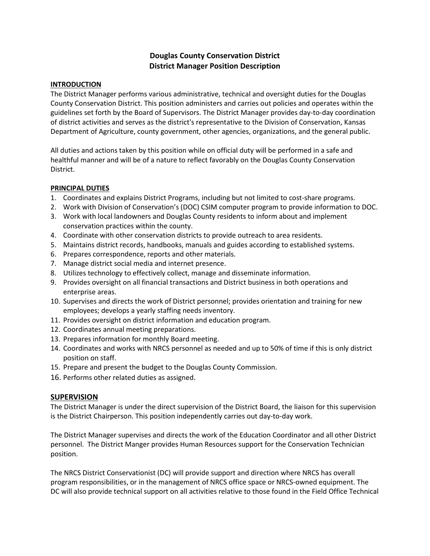# **Douglas County Conservation District District Manager Position Description**

### **INTRODUCTION**

The District Manager performs various administrative, technical and oversight duties for the Douglas County Conservation District. This position administers and carries out policies and operates within the guidelines set forth by the Board of Supervisors. The District Manager provides day-to-day coordination of district activities and serves as the district's representative to the Division of Conservation, Kansas Department of Agriculture, county government, other agencies, organizations, and the general public.

All duties and actions taken by this position while on official duty will be performed in a safe and healthful manner and will be of a nature to reflect favorably on the Douglas County Conservation District.

### **PRINCIPAL DUTIES**

- 1. Coordinates and explains District Programs, including but not limited to cost-share programs.
- 2. Work with Division of Conservation's (DOC) CSIM computer program to provide information to DOC.
- 3. Work with local landowners and Douglas County residents to inform about and implement conservation practices within the county.
- 4. Coordinate with other conservation districts to provide outreach to area residents.
- 5. Maintains district records, handbooks, manuals and guides according to established systems.
- 6. Prepares correspondence, reports and other materials.
- 7. Manage district social media and internet presence.
- 8. Utilizes technology to effectively collect, manage and disseminate information.
- 9. Provides oversight on all financial transactions and District business in both operations and enterprise areas.
- 10. Supervises and directs the work of District personnel; provides orientation and training for new employees; develops a yearly staffing needs inventory.
- 11. Provides oversight on district information and education program.
- 12. Coordinates annual meeting preparations.
- 13. Prepares information for monthly Board meeting.
- 14. Coordinates and works with NRCS personnel as needed and up to 50% of time if this is only district position on staff.
- 15. Prepare and present the budget to the Douglas County Commission.
- 16. Performs other related duties as assigned.

## **SUPERVISION**

The District Manager is under the direct supervision of the District Board, the liaison for this supervision is the District Chairperson. This position independently carries out day-to-day work.

The District Manager supervises and directs the work of the Education Coordinator and all other District personnel. The District Manger provides Human Resources support for the Conservation Technician position.

The NRCS District Conservationist (DC) will provide support and direction where NRCS has overall program responsibilities, or in the management of NRCS office space or NRCS-owned equipment. The DC will also provide technical support on all activities relative to those found in the Field Office Technical